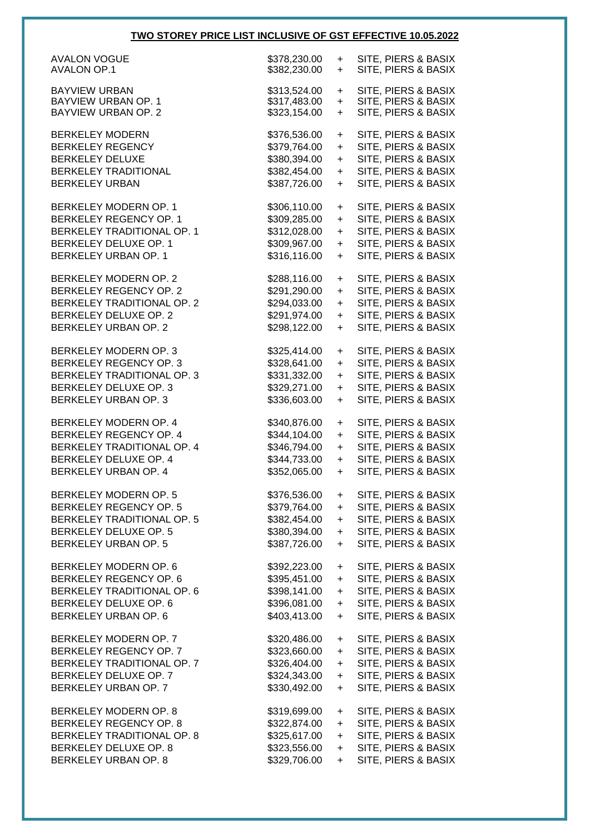## **TWO STOREY PRICE LIST INCLUSIVE OF GST EFFECTIVE 10.05.2022**

| <b>AVALON VOGUE</b>                         | \$378,230.00 | $\ddot{}$ | SITE, PIERS & BASIX |
|---------------------------------------------|--------------|-----------|---------------------|
| <b>AVALON OP.1</b>                          | \$382,230.00 | $+$       | SITE, PIERS & BASIX |
|                                             |              |           |                     |
| <b>BAYVIEW URBAN</b><br>BAYVIEW URBAN OP. 1 | \$313,524.00 | $\ddot{}$ | SITE, PIERS & BASIX |
|                                             | \$317,483.00 | $\ddot{}$ | SITE, PIERS & BASIX |
| <b>BAYVIEW URBAN OP. 2</b>                  | \$323,154.00 | $+$       | SITE, PIERS & BASIX |
| <b>BERKELEY MODERN</b>                      | \$376,536.00 | +         | SITE, PIERS & BASIX |
| <b>BERKELEY REGENCY</b>                     | \$379,764.00 | $+$       | SITE, PIERS & BASIX |
| <b>BERKELEY DELUXE</b>                      |              |           |                     |
|                                             | \$380,394.00 | $+$       | SITE, PIERS & BASIX |
| <b>BERKELEY TRADITIONAL</b>                 | \$382,454.00 | $+$       | SITE, PIERS & BASIX |
| <b>BERKELEY URBAN</b>                       | \$387,726.00 | $+$       | SITE, PIERS & BASIX |
| BERKELEY MODERN OP. 1                       | \$306,110.00 | $\ddot{}$ | SITE, PIERS & BASIX |
| BERKELEY REGENCY OP. 1                      |              |           |                     |
|                                             | \$309,285.00 | $+$       | SITE, PIERS & BASIX |
| BERKELEY TRADITIONAL OP. 1                  | \$312,028.00 | $+$       | SITE, PIERS & BASIX |
| BERKELEY DELUXE OP. 1                       | \$309,967.00 | $\ddot{}$ | SITE, PIERS & BASIX |
| BERKELEY URBAN OP. 1                        | \$316,116.00 | $\ddot{}$ | SITE, PIERS & BASIX |
|                                             |              |           |                     |
| BERKELEY MODERN OP. 2                       | \$288,116.00 | $\ddot{}$ | SITE, PIERS & BASIX |
| <b>BERKELEY REGENCY OP. 2</b>               | \$291,290.00 | $+$       | SITE, PIERS & BASIX |
| BERKELEY TRADITIONAL OP. 2                  | \$294,033.00 | $\ddot{}$ | SITE, PIERS & BASIX |
| BERKELEY DELUXE OP. 2                       | \$291,974.00 | $+$       | SITE, PIERS & BASIX |
| BERKELEY URBAN OP. 2                        | \$298,122.00 | $\ddot{}$ | SITE, PIERS & BASIX |
|                                             |              |           |                     |
| BERKELEY MODERN OP. 3                       | \$325,414.00 | $\ddot{}$ | SITE, PIERS & BASIX |
| <b>BERKELEY REGENCY OP. 3</b>               | \$328,641.00 | $+$       | SITE, PIERS & BASIX |
| BERKELEY TRADITIONAL OP. 3                  | \$331,332.00 | $\ddot{}$ | SITE, PIERS & BASIX |
| BERKELEY DELUXE OP. 3                       | \$329,271.00 | $+$       | SITE, PIERS & BASIX |
| BERKELEY URBAN OP. 3                        |              |           |                     |
|                                             | \$336,603.00 | $+$       | SITE, PIERS & BASIX |
| BERKELEY MODERN OP. 4                       | \$340,876.00 | $\ddot{}$ | SITE, PIERS & BASIX |
| BERKELEY REGENCY OP. 4                      | \$344,104.00 | $+$       | SITE, PIERS & BASIX |
| BERKELEY TRADITIONAL OP. 4                  | \$346,794.00 | $\ddot{}$ | SITE, PIERS & BASIX |
|                                             |              |           |                     |
| BERKELEY DELUXE OP. 4                       | \$344,733.00 | $+$       | SITE, PIERS & BASIX |
| BERKELEY URBAN OP. 4                        | \$352,065.00 | $+$       | SITE, PIERS & BASIX |
| BERKELEY MODERN OP. 5                       | \$376,536.00 | +         | SITE, PIERS & BASIX |
| <b>BERKELEY REGENCY OP. 5</b>               | \$379,764.00 | $\ddot{}$ | SITE, PIERS & BASIX |
|                                             |              |           |                     |
| <b>BERKELEY TRADITIONAL OP. 5</b>           | \$382,454.00 | $\ddot{}$ | SITE, PIERS & BASIX |
| <b>BERKELEY DELUXE OP. 5</b>                | \$380,394.00 | $\ddot{}$ | SITE, PIERS & BASIX |
| <b>BERKELEY URBAN OP. 5</b>                 | \$387,726.00 | $\ddot{}$ | SITE, PIERS & BASIX |
| BERKELEY MODERN OP. 6                       | \$392,223.00 | $+$       | SITE, PIERS & BASIX |
| BERKELEY REGENCY OP. 6                      |              |           |                     |
|                                             | \$395,451.00 | $+$       | SITE, PIERS & BASIX |
| BERKELEY TRADITIONAL OP. 6                  | \$398,141.00 | $\ddot{}$ | SITE, PIERS & BASIX |
| BERKELEY DELUXE OP. 6                       | \$396,081.00 | $\ddot{}$ | SITE, PIERS & BASIX |
| BERKELEY URBAN OP. 6                        | \$403,413.00 | $\ddot{}$ | SITE, PIERS & BASIX |
| BERKELEY MODERN OP. 7                       | \$320,486.00 |           | SITE, PIERS & BASIX |
|                                             |              | $\ddot{}$ |                     |
| BERKELEY REGENCY OP. 7                      | \$323,660.00 | $\ddot{}$ | SITE, PIERS & BASIX |
| BERKELEY TRADITIONAL OP. 7                  | \$326,404.00 | $\ddot{}$ | SITE, PIERS & BASIX |
| BERKELEY DELUXE OP. 7                       |              | $\ddot{}$ | SITE, PIERS & BASIX |
| BERKELEY URBAN OP. 7                        | \$324,343.00 |           |                     |
|                                             | \$330,492.00 | $\ddot{}$ | SITE, PIERS & BASIX |
|                                             |              |           |                     |
| BERKELEY MODERN OP. 8                       | \$319,699.00 | $\ddot{}$ | SITE, PIERS & BASIX |
| BERKELEY REGENCY OP. 8                      | \$322,874.00 | $\ddot{}$ | SITE, PIERS & BASIX |
| BERKELEY TRADITIONAL OP. 8                  | \$325,617.00 | $\ddot{}$ | SITE, PIERS & BASIX |
| BERKELEY DELUXE OP. 8                       | \$323,556.00 | $\ddot{}$ | SITE, PIERS & BASIX |
| BERKELEY URBAN OP. 8                        | \$329,706.00 | $+$       | SITE, PIERS & BASIX |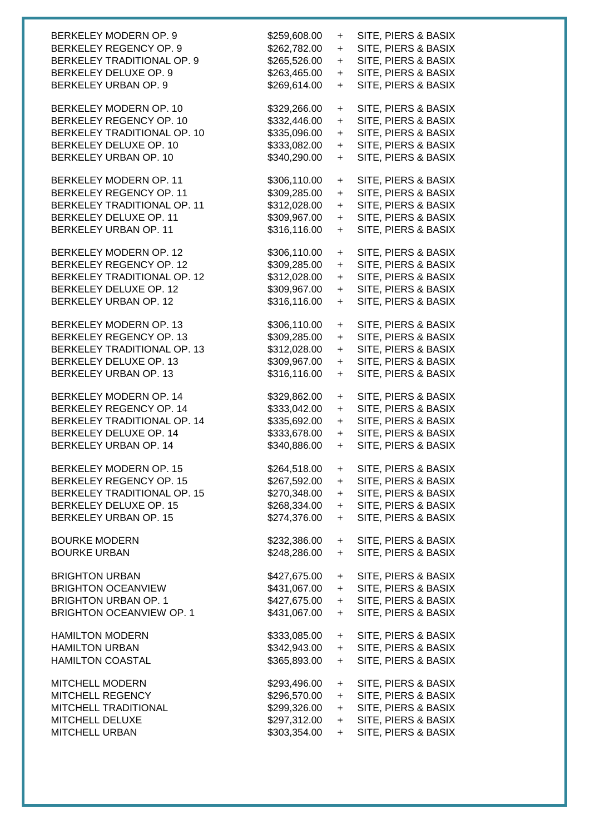| BERKELEY MODERN OP. 9           | \$259,608.00 | +         | SITE, PIERS & BASIX |
|---------------------------------|--------------|-----------|---------------------|
| BERKELEY REGENCY OP. 9          | \$262,782.00 | $\ddot{}$ | SITE, PIERS & BASIX |
| BERKELEY TRADITIONAL OP. 9      | \$265,526.00 | $+$       | SITE, PIERS & BASIX |
| BERKELEY DELUXE OP. 9           | \$263,465.00 | $+$       | SITE, PIERS & BASIX |
| BERKELEY URBAN OP. 9            | \$269,614.00 | $+$       | SITE, PIERS & BASIX |
| BERKELEY MODERN OP. 10          | \$329,266.00 | $\ddot{}$ | SITE, PIERS & BASIX |
| BERKELEY REGENCY OP. 10         | \$332,446.00 | $+$       | SITE, PIERS & BASIX |
| BERKELEY TRADITIONAL OP. 10     | \$335,096.00 | $+$       | SITE, PIERS & BASIX |
| BERKELEY DELUXE OP. 10          | \$333,082.00 | $+$       | SITE, PIERS & BASIX |
| BERKELEY URBAN OP. 10           | \$340,290.00 | $+$       | SITE, PIERS & BASIX |
| BERKELEY MODERN OP. 11          | \$306,110.00 | $\ddot{}$ | SITE, PIERS & BASIX |
| BERKELEY REGENCY OP. 11         | \$309,285.00 | $\ddot{}$ | SITE, PIERS & BASIX |
| BERKELEY TRADITIONAL OP. 11     | \$312,028.00 | $+$       | SITE, PIERS & BASIX |
| BERKELEY DELUXE OP. 11          | \$309,967.00 | $+$       | SITE, PIERS & BASIX |
| BERKELEY URBAN OP. 11           | \$316,116.00 | $\ddot{}$ | SITE, PIERS & BASIX |
| BERKELEY MODERN OP. 12          | \$306,110.00 | $\ddot{}$ | SITE, PIERS & BASIX |
| BERKELEY REGENCY OP. 12         | \$309,285.00 | $\ddot{}$ | SITE, PIERS & BASIX |
| BERKELEY TRADITIONAL OP. 12     | \$312,028.00 | $\ddot{}$ | SITE, PIERS & BASIX |
| BERKELEY DELUXE OP. 12          | \$309,967.00 | $\ddot{}$ | SITE, PIERS & BASIX |
| BERKELEY URBAN OP. 12           | \$316,116.00 | $+$       | SITE, PIERS & BASIX |
| BERKELEY MODERN OP. 13          | \$306,110.00 | $\ddot{}$ | SITE, PIERS & BASIX |
| BERKELEY REGENCY OP. 13         | \$309,285.00 | $\ddot{}$ | SITE, PIERS & BASIX |
| BERKELEY TRADITIONAL OP. 13     | \$312,028.00 | $\ddot{}$ | SITE, PIERS & BASIX |
| BERKELEY DELUXE OP. 13          | \$309,967.00 | $\ddot{}$ | SITE, PIERS & BASIX |
| BERKELEY URBAN OP. 13           | \$316,116.00 | $\ddot{}$ | SITE, PIERS & BASIX |
| BERKELEY MODERN OP. 14          | \$329,862.00 | $\ddot{}$ | SITE, PIERS & BASIX |
| BERKELEY REGENCY OP. 14         | \$333,042.00 | $\ddot{}$ | SITE, PIERS & BASIX |
| BERKELEY TRADITIONAL OP. 14     | \$335,692.00 | $\ddot{}$ | SITE, PIERS & BASIX |
| BERKELEY DELUXE OP. 14          | \$333,678.00 | $\ddot{}$ | SITE, PIERS & BASIX |
| BERKELEY URBAN OP. 14           | \$340,886.00 | $+$       | SITE, PIERS & BASIX |
| BERKELEY MODERN OP. 15          | \$264,518.00 | $\ddot{}$ | SITE, PIERS & BASIX |
| <b>BERKELEY REGENCY OP. 15</b>  | \$267,592.00 | +         | SITE, PIERS & BASIX |
| BERKELEY TRADITIONAL OP. 15     | \$270,348.00 | $\ddot{}$ | SITE, PIERS & BASIX |
| BERKELEY DELUXE OP. 15          | \$268,334.00 | $\ddot{}$ | SITE, PIERS & BASIX |
| BERKELEY URBAN OP. 15           | \$274,376.00 | $\ddot{}$ | SITE, PIERS & BASIX |
| <b>BOURKE MODERN</b>            | \$232,386.00 | $+$       | SITE, PIERS & BASIX |
| <b>BOURKE URBAN</b>             | \$248,286.00 | $\ddot{}$ | SITE, PIERS & BASIX |
| <b>BRIGHTON URBAN</b>           | \$427,675.00 | $\ddot{}$ | SITE, PIERS & BASIX |
| <b>BRIGHTON OCEANVIEW</b>       | \$431,067.00 | $\ddot{}$ | SITE, PIERS & BASIX |
| <b>BRIGHTON URBAN OP. 1</b>     | \$427,675.00 | $\ddot{}$ | SITE, PIERS & BASIX |
| <b>BRIGHTON OCEANVIEW OP. 1</b> | \$431,067.00 | $\ddot{}$ | SITE, PIERS & BASIX |
| <b>HAMILTON MODERN</b>          | \$333,085.00 | $\ddot{}$ | SITE, PIERS & BASIX |
| <b>HAMILTON URBAN</b>           | \$342,943.00 | $\ddot{}$ | SITE, PIERS & BASIX |
| <b>HAMILTON COASTAL</b>         | \$365,893.00 | $\ddot{}$ | SITE, PIERS & BASIX |
| <b>MITCHELL MODERN</b>          | \$293,496.00 | $\ddot{}$ | SITE, PIERS & BASIX |
| MITCHELL REGENCY                | \$296,570.00 | $\ddot{}$ | SITE, PIERS & BASIX |
| MITCHELL TRADITIONAL            | \$299,326.00 | $\ddot{}$ | SITE, PIERS & BASIX |
| MITCHELL DELUXE                 | \$297,312.00 | $\ddot{}$ | SITE, PIERS & BASIX |
| MITCHELL URBAN                  | \$303,354.00 | $\ddot{}$ | SITE, PIERS & BASIX |
|                                 |              |           |                     |